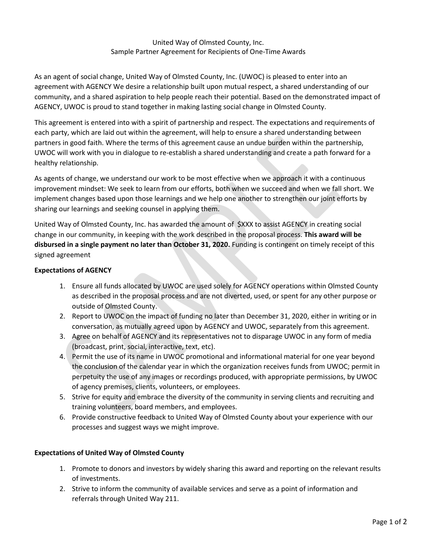## United Way of Olmsted County, Inc. Sample Partner Agreement for Recipients of One-Time Awards

As an agent of social change, United Way of Olmsted County, Inc. (UWOC) is pleased to enter into an agreement with AGENCY We desire a relationship built upon mutual respect, a shared understanding of our community, and a shared aspiration to help people reach their potential. Based on the demonstrated impact of AGENCY, UWOC is proud to stand together in making lasting social change in Olmsted County.

This agreement is entered into with a spirit of partnership and respect. The expectations and requirements of each party, which are laid out within the agreement, will help to ensure a shared understanding between partners in good faith. Where the terms of this agreement cause an undue burden within the partnership, UWOC will work with you in dialogue to re-establish a shared understanding and create a path forward for a healthy relationship.

As agents of change, we understand our work to be most effective when we approach it with a continuous improvement mindset: We seek to learn from our efforts, both when we succeed and when we fall short. We implement changes based upon those learnings and we help one another to strengthen our joint efforts by sharing our learnings and seeking counsel in applying them.

United Way of Olmsted County, Inc. has awarded the amount of \$XXX to assist AGENCY in creating social change in our community, in keeping with the work described in the proposal process. **This award will be disbursed in a single payment no later than October 31, 2020.** Funding is contingent on timely receipt of this signed agreement

## **Expectations of AGENCY**

- 1. Ensure all funds allocated by UWOC are used solely for AGENCY operations within Olmsted County as described in the proposal process and are not diverted, used, or spent for any other purpose or outside of Olmsted County.
- 2. Report to UWOC on the impact of funding no later than December 31, 2020, either in writing or in conversation, as mutually agreed upon by AGENCY and UWOC, separately from this agreement.
- 3. Agree on behalf of AGENCY and its representatives not to disparage UWOC in any form of media (broadcast, print, social, interactive, text, etc).
- 4. Permit the use of its name in UWOC promotional and informational material for one year beyond the conclusion of the calendar year in which the organization receives funds from UWOC; permit in perpetuity the use of any images or recordings produced, with appropriate permissions, by UWOC of agency premises, clients, volunteers, or employees.
- 5. Strive for equity and embrace the diversity of the community in serving clients and recruiting and training volunteers, board members, and employees.
- 6. Provide constructive feedback to United Way of Olmsted County about your experience with our processes and suggest ways we might improve.

## **Expectations of United Way of Olmsted County**

- 1. Promote to donors and investors by widely sharing this award and reporting on the relevant results of investments.
- 2. Strive to inform the community of available services and serve as a point of information and referrals through United Way 211.